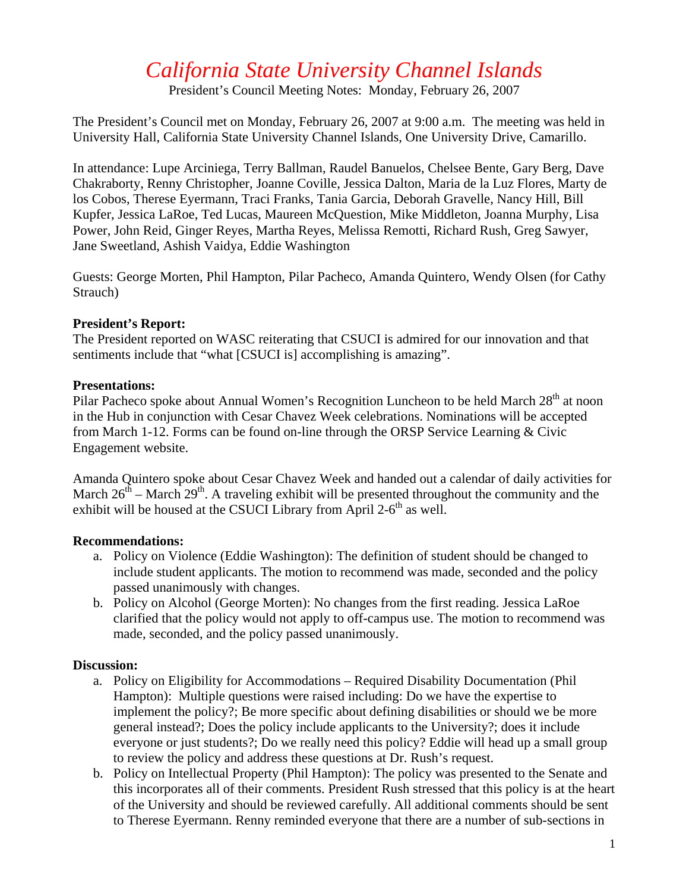# *California State University Channel Islands*

President's Council Meeting Notes: Monday, February 26, 2007

The President's Council met on Monday, February 26, 2007 at 9:00 a.m. The meeting was held in University Hall, California State University Channel Islands, One University Drive, Camarillo.

In attendance: Lupe Arciniega, Terry Ballman, Raudel Banuelos, Chelsee Bente, Gary Berg, Dave Chakraborty, Renny Christopher, Joanne Coville, Jessica Dalton, Maria de la Luz Flores, Marty de los Cobos, Therese Eyermann, Traci Franks, Tania Garcia, Deborah Gravelle, Nancy Hill, Bill Kupfer, Jessica LaRoe, Ted Lucas, Maureen McQuestion, Mike Middleton, Joanna Murphy, Lisa Power, John Reid, Ginger Reyes, Martha Reyes, Melissa Remotti, Richard Rush, Greg Sawyer, Jane Sweetland, Ashish Vaidya, Eddie Washington

Guests: George Morten, Phil Hampton, Pilar Pacheco, Amanda Quintero, Wendy Olsen (for Cathy Strauch)

#### **President's Report:**

The President reported on WASC reiterating that CSUCI is admired for our innovation and that sentiments include that "what [CSUCI is] accomplishing is amazing".

#### **Presentations:**

Pilar Pacheco spoke about Annual Women's Recognition Luncheon to be held March 28<sup>th</sup> at noon in the Hub in conjunction with Cesar Chavez Week celebrations. Nominations will be accepted from March 1-12. Forms can be found on-line through the ORSP Service Learning & Civic Engagement website.

Amanda Quintero spoke about Cesar Chavez Week and handed out a calendar of daily activities for March  $26^{th}$  – March  $29^{th}$ . A traveling exhibit will be presented throughout the community and the exhibit will be housed at the CSUCI Library from April 2- $6<sup>th</sup>$  as well.

## **Recommendations:**

- a. Policy on Violence (Eddie Washington): The definition of student should be changed to include student applicants. The motion to recommend was made, seconded and the policy passed unanimously with changes.
- b. Policy on Alcohol (George Morten): No changes from the first reading. Jessica LaRoe clarified that the policy would not apply to off-campus use. The motion to recommend was made, seconded, and the policy passed unanimously.

## **Discussion:**

- a. Policy on Eligibility for Accommodations Required Disability Documentation (Phil Hampton): Multiple questions were raised including: Do we have the expertise to implement the policy?; Be more specific about defining disabilities or should we be more general instead?; Does the policy include applicants to the University?; does it include everyone or just students?; Do we really need this policy? Eddie will head up a small group to review the policy and address these questions at Dr. Rush's request.
- b. Policy on Intellectual Property (Phil Hampton): The policy was presented to the Senate and this incorporates all of their comments. President Rush stressed that this policy is at the heart of the University and should be reviewed carefully. All additional comments should be sent to Therese Eyermann. Renny reminded everyone that there are a number of sub-sections in